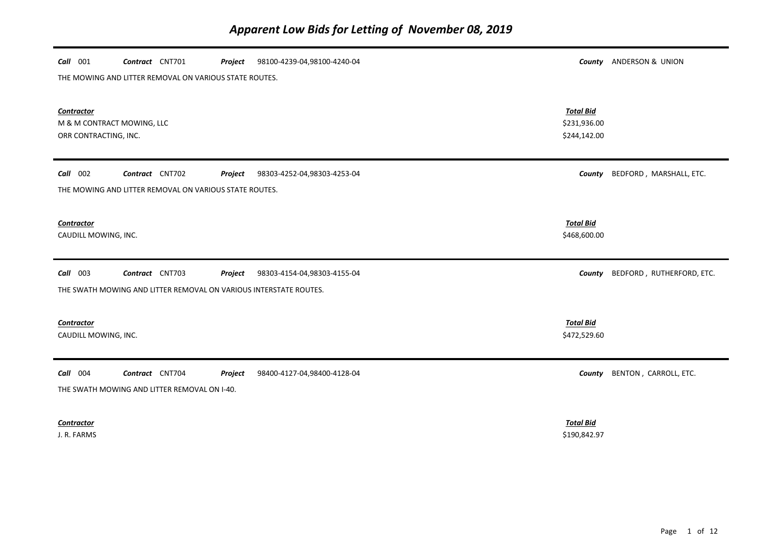| Call 001<br>Contract CNT701                                              | 98100-4239-04,98100-4240-04<br>Project |                                                  | County ANDERSON & UNION   |
|--------------------------------------------------------------------------|----------------------------------------|--------------------------------------------------|---------------------------|
| THE MOWING AND LITTER REMOVAL ON VARIOUS STATE ROUTES.                   |                                        |                                                  |                           |
| <b>Contractor</b><br>M & M CONTRACT MOWING, LLC<br>ORR CONTRACTING, INC. |                                        | <b>Total Bid</b><br>\$231,936.00<br>\$244,142.00 |                           |
| Call 002<br>Contract CNT702                                              | 98303-4252-04,98303-4253-04<br>Project | County                                           | BEDFORD, MARSHALL, ETC.   |
| THE MOWING AND LITTER REMOVAL ON VARIOUS STATE ROUTES.                   |                                        |                                                  |                           |
| Contractor<br>CAUDILL MOWING, INC.                                       |                                        | <b>Total Bid</b><br>\$468,600.00                 |                           |
| 003<br>Call<br>Contract CNT703                                           | Project<br>98303-4154-04,98303-4155-04 | County                                           | BEDFORD, RUTHERFORD, ETC. |
| THE SWATH MOWING AND LITTER REMOVAL ON VARIOUS INTERSTATE ROUTES.        |                                        |                                                  |                           |
| <b>Contractor</b><br>CAUDILL MOWING, INC.                                |                                        | <b>Total Bid</b><br>\$472,529.60                 |                           |
| Call 004<br>Contract CNT704                                              | 98400-4127-04,98400-4128-04<br>Project | County                                           | BENTON, CARROLL, ETC.     |
| THE SWATH MOWING AND LITTER REMOVAL ON I-40.                             |                                        |                                                  |                           |
| Contractor<br>J. R. FARMS                                                |                                        | <b>Total Bid</b><br>\$190,842.97                 |                           |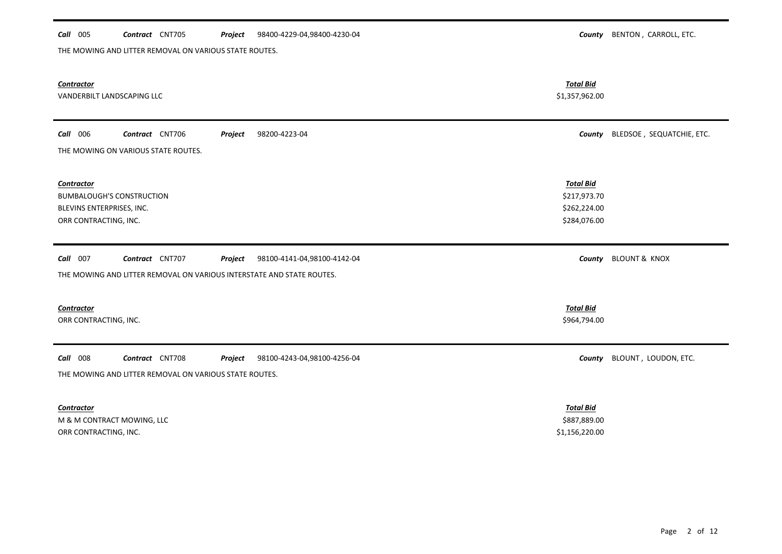# *Call* 005 *Contract* CNT705 *Project County* BENTON , CARROLL, ETC. 98400-4229-04,98400-4230-04 THE MOWING AND LITTER REMOVAL ON VARIOUS STATE ROUTES.

| <b>Contractor</b><br>VANDERBILT LANDSCAPING LLC                                                                                                | <b>Total Bid</b><br>\$1,357,962.00                               |                                  |
|------------------------------------------------------------------------------------------------------------------------------------------------|------------------------------------------------------------------|----------------------------------|
| Call 006<br>Contract CNT706<br>98200-4223-04<br>Project<br>THE MOWING ON VARIOUS STATE ROUTES.                                                 |                                                                  | County BLEDSOE, SEQUATCHIE, ETC. |
| Contractor<br><b>BUMBALOUGH'S CONSTRUCTION</b><br>BLEVINS ENTERPRISES, INC.<br>ORR CONTRACTING, INC.                                           | <b>Total Bid</b><br>\$217,973.70<br>\$262,224.00<br>\$284,076.00 |                                  |
| Call 007<br>Contract CNT707<br>Project<br>98100-4141-04,98100-4142-04<br>THE MOWING AND LITTER REMOVAL ON VARIOUS INTERSTATE AND STATE ROUTES. |                                                                  | County BLOUNT & KNOX             |
| <b>Contractor</b><br>ORR CONTRACTING, INC.                                                                                                     | <b>Total Bid</b><br>\$964,794.00                                 |                                  |
| Call 008<br>Contract CNT708<br>Project<br>98100-4243-04,98100-4256-04<br>THE MOWING AND LITTER REMOVAL ON VARIOUS STATE ROUTES.                | County                                                           | BLOUNT, LOUDON, ETC.             |
| <b>Contractor</b><br>M & M CONTRACT MOWING, LLC<br>ORR CONTRACTING, INC.                                                                       | <b>Total Bid</b><br>\$887,889.00<br>\$1,156,220.00               |                                  |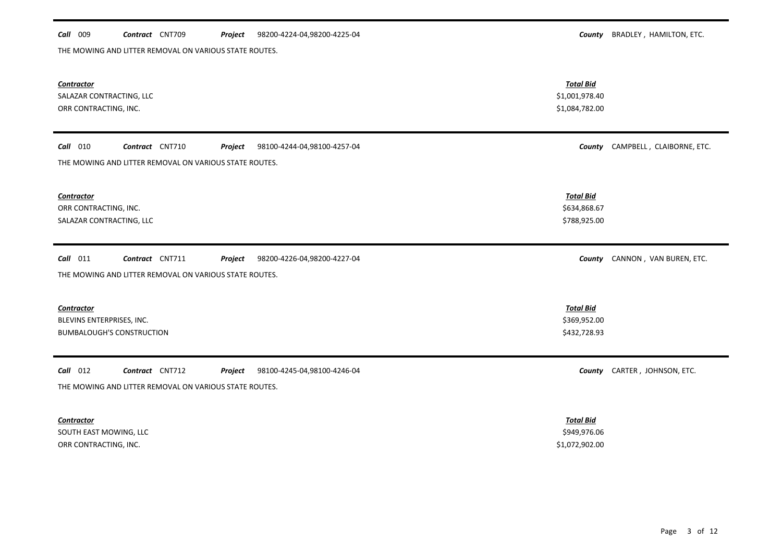## *Call* 009 *Contract* CNT709 *Project County* BRADLEY , HAMILTON, ETC. 98200-4224-04,98200-4225-04

THE MOWING AND LITTER REMOVAL ON VARIOUS STATE ROUTES.

| <b>Contractor</b><br>SALAZAR CONTRACTING, LLC<br>ORR CONTRACTING, INC.                                                            | <b>Total Bid</b><br>\$1,001,978.40<br>\$1,084,782.00 |                                  |
|-----------------------------------------------------------------------------------------------------------------------------------|------------------------------------------------------|----------------------------------|
| $Call$ 010<br>Contract CNT710<br>Project<br>98100-4244-04,98100-4257-04<br>THE MOWING AND LITTER REMOVAL ON VARIOUS STATE ROUTES. |                                                      | County CAMPBELL, CLAIBORNE, ETC. |
| <b>Contractor</b><br>ORR CONTRACTING, INC.<br>SALAZAR CONTRACTING, LLC                                                            | <b>Total Bid</b><br>\$634,868.67<br>\$788,925.00     |                                  |
| $Call$ 011<br>Contract CNT711<br>Project<br>98200-4226-04,98200-4227-04<br>THE MOWING AND LITTER REMOVAL ON VARIOUS STATE ROUTES. | County                                               | CANNON, VAN BUREN, ETC.          |
| <b>Contractor</b><br>BLEVINS ENTERPRISES, INC.<br><b>BUMBALOUGH'S CONSTRUCTION</b>                                                | <b>Total Bid</b><br>\$369,952.00<br>\$432,728.93     |                                  |
| $Call$ 012<br>Contract CNT712<br>Project<br>98100-4245-04,98100-4246-04<br>THE MOWING AND LITTER REMOVAL ON VARIOUS STATE ROUTES. | County                                               | CARTER, JOHNSON, ETC.            |
| <b>Contractor</b><br>SOUTH EAST MOWING, LLC<br>ORR CONTRACTING, INC.                                                              | <b>Total Bid</b><br>\$949,976.06<br>\$1,072,902.00   |                                  |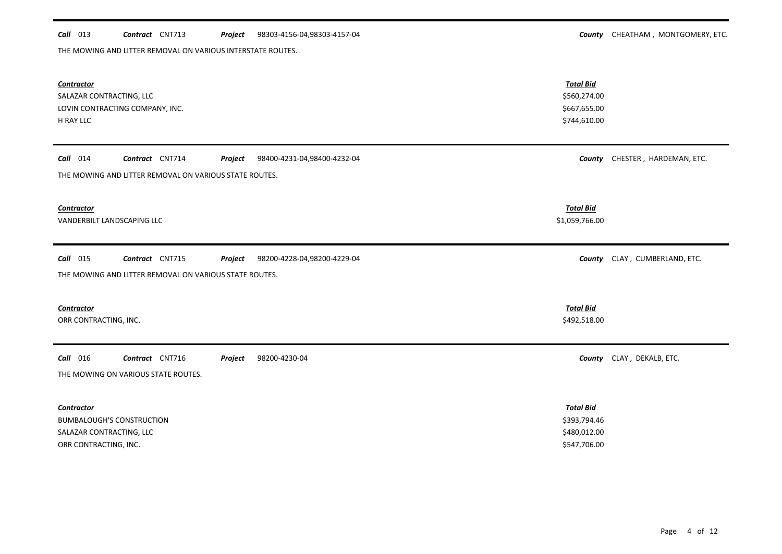### **Call** 013 **Contract** CNT713 **Project** 98303-4156-04,98303-4157-04 **County CHEATHAM**, MONTGOMERY, ETC. Project 98303-4156-04,98303-4157-04

THE MOWING AND LITTER REMOVAL ON VARIOUS INTERSTATE ROUTES.

| <b>Contractor</b><br>SALAZAR CONTRACTING, LLC<br>LOVIN CONTRACTING COMPANY, INC.<br>H RAY LLC                                     | <b>Total Bid</b><br>\$560,274.00<br>\$667,655.00<br>\$744,610.00 |                                |
|-----------------------------------------------------------------------------------------------------------------------------------|------------------------------------------------------------------|--------------------------------|
| $Call$ 014<br>Contract CNT714<br>98400-4231-04,98400-4232-04<br>Project<br>THE MOWING AND LITTER REMOVAL ON VARIOUS STATE ROUTES. |                                                                  | County CHESTER, HARDEMAN, ETC. |
| <b>Contractor</b><br>VANDERBILT LANDSCAPING LLC                                                                                   | <b>Total Bid</b><br>\$1,059,766.00                               |                                |
| Call 015<br>Contract CNT715<br>Project<br>98200-4228-04,98200-4229-04<br>THE MOWING AND LITTER REMOVAL ON VARIOUS STATE ROUTES.   |                                                                  | County CLAY, CUMBERLAND, ETC.  |
| <b>Contractor</b><br>ORR CONTRACTING, INC.                                                                                        | <b>Total Bid</b><br>\$492,518.00                                 |                                |
| Call 016<br>Contract CNT716<br>Project<br>98200-4230-04<br>THE MOWING ON VARIOUS STATE ROUTES.                                    |                                                                  | County CLAY, DEKALB, ETC.      |
| <b>Contractor</b><br><b>BUMBALOUGH'S CONSTRUCTION</b><br>SALAZAR CONTRACTING, LLC<br>ORR CONTRACTING, INC.                        | <b>Total Bid</b><br>\$393,794.46<br>\$480,012.00<br>\$547,706.00 |                                |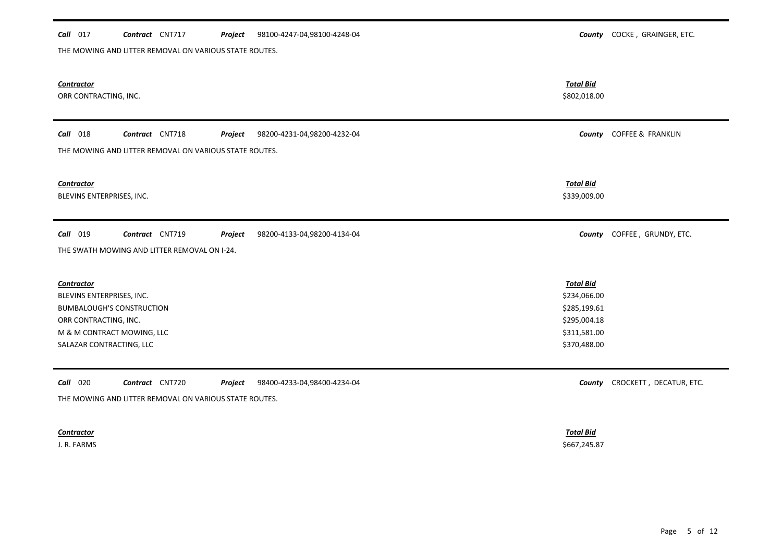| Call 017                                                                                                                                                              | Contract CNT717                                                 | Project | 98100-4247-04,98100-4248-04 |                                                                                                  | County COCKE, GRAINGER, ETC. |
|-----------------------------------------------------------------------------------------------------------------------------------------------------------------------|-----------------------------------------------------------------|---------|-----------------------------|--------------------------------------------------------------------------------------------------|------------------------------|
|                                                                                                                                                                       | THE MOWING AND LITTER REMOVAL ON VARIOUS STATE ROUTES.          |         |                             |                                                                                                  |                              |
| <b>Contractor</b><br>ORR CONTRACTING, INC.                                                                                                                            |                                                                 |         |                             | <b>Total Bid</b><br>\$802,018.00                                                                 |                              |
| <b>Call</b> 018                                                                                                                                                       | Contract CNT718                                                 | Project | 98200-4231-04,98200-4232-04 |                                                                                                  | County COFFEE & FRANKLIN     |
|                                                                                                                                                                       | THE MOWING AND LITTER REMOVAL ON VARIOUS STATE ROUTES.          |         |                             |                                                                                                  |                              |
| Contractor<br>BLEVINS ENTERPRISES, INC.                                                                                                                               |                                                                 |         |                             | <b>Total Bid</b><br>\$339,009.00                                                                 |                              |
|                                                                                                                                                                       |                                                                 |         |                             |                                                                                                  |                              |
| <b>Call</b> 019                                                                                                                                                       | Contract CNT719<br>THE SWATH MOWING AND LITTER REMOVAL ON I-24. | Project | 98200-4133-04,98200-4134-04 |                                                                                                  | County COFFEE, GRUNDY, ETC.  |
| <b>Contractor</b><br>BLEVINS ENTERPRISES, INC.<br><b>BUMBALOUGH'S CONSTRUCTION</b><br>ORR CONTRACTING, INC.<br>M & M CONTRACT MOWING, LLC<br>SALAZAR CONTRACTING, LLC |                                                                 |         |                             | <b>Total Bid</b><br>\$234,066.00<br>\$285,199.61<br>\$295,004.18<br>\$311,581.00<br>\$370,488.00 |                              |

### *Contractor Total Bid*

J. R. FARMS \$667,245.87

Page 5 of 12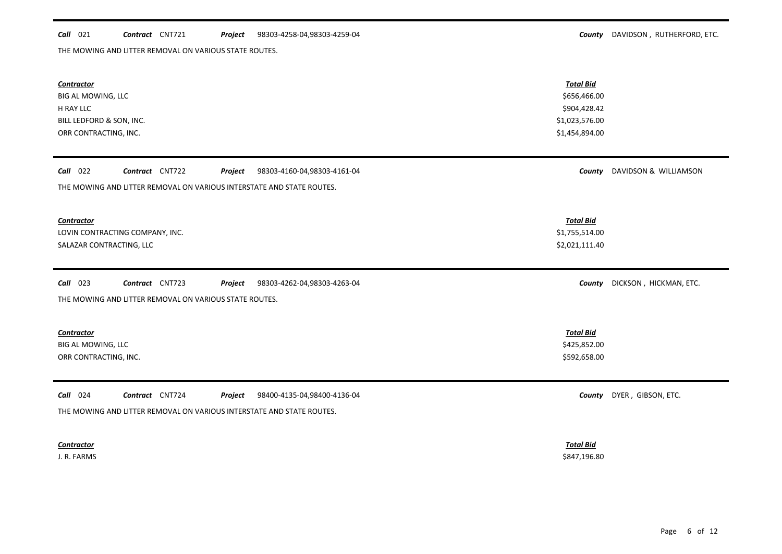### *Call* 021 *Contract* CNT721 *Project County* DAVIDSON , RUTHERFORD, ETC. 98303-4258-04,98303-4259-04

THE MOWING AND LITTER REMOVAL ON VARIOUS STATE ROUTES.

| <b>Contractor</b><br>BIG AL MOWING, LLC<br>H RAY LLC<br>BILL LEDFORD & SON, INC.<br>ORR CONTRACTING, INC.                                      | <b>Total Bid</b><br>\$656,466.00<br>\$904,428.42<br>\$1,023,576.00<br>\$1,454,894.00 |                        |
|------------------------------------------------------------------------------------------------------------------------------------------------|--------------------------------------------------------------------------------------|------------------------|
| Call 022<br>Contract CNT722<br>Project<br>98303-4160-04,98303-4161-04<br>THE MOWING AND LITTER REMOVAL ON VARIOUS INTERSTATE AND STATE ROUTES. | County                                                                               | DAVIDSON & WILLIAMSON  |
| <b>Contractor</b><br>LOVIN CONTRACTING COMPANY, INC.<br>SALAZAR CONTRACTING, LLC                                                               | <b>Total Bid</b><br>\$1,755,514.00<br>\$2,021,111.40                                 |                        |
| Contract CNT723<br>$Call$ 023<br>Project<br>98303-4262-04,98303-4263-04<br>THE MOWING AND LITTER REMOVAL ON VARIOUS STATE ROUTES.              | County                                                                               | DICKSON, HICKMAN, ETC. |
| <b>Contractor</b><br>BIG AL MOWING, LLC<br>ORR CONTRACTING, INC.                                                                               | <b>Total Bid</b><br>\$425,852.00<br>\$592,658.00                                     |                        |
| Call 024<br>Contract CNT724<br>Project<br>98400-4135-04,98400-4136-04<br>THE MOWING AND LITTER REMOVAL ON VARIOUS INTERSTATE AND STATE ROUTES. | County                                                                               | DYER, GIBSON, ETC.     |
| <b>Contractor</b>                                                                                                                              | <b>Total Bid</b>                                                                     |                        |

J. R. FARMS \$847,196.80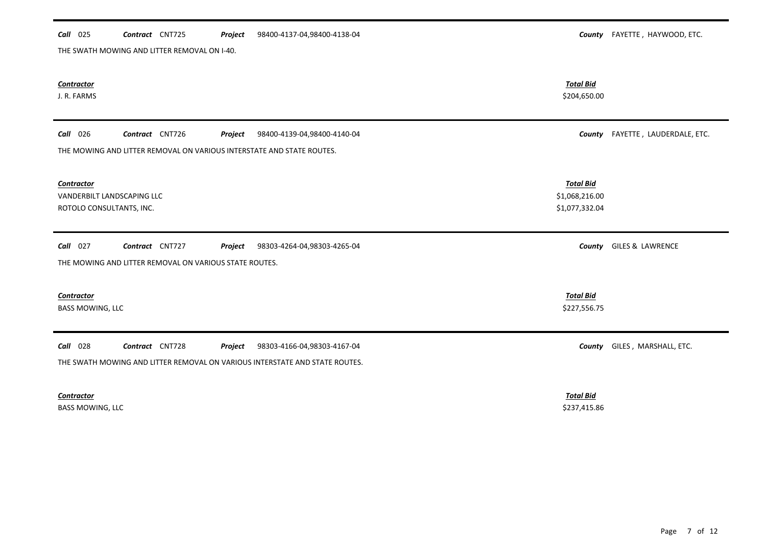| Call 025                                                             | Contract CNT725<br>THE SWATH MOWING AND LITTER REMOVAL ON I-40.           | Project | 98400-4137-04,98400-4138-04                                                                                |                                                      | County FAYETTE, HAYWOOD, ETC.  |
|----------------------------------------------------------------------|---------------------------------------------------------------------------|---------|------------------------------------------------------------------------------------------------------------|------------------------------------------------------|--------------------------------|
| <b>Contractor</b><br>J. R. FARMS                                     |                                                                           |         |                                                                                                            | <b>Total Bid</b><br>\$204,650.00                     |                                |
| Call 026                                                             | Contract CNT726                                                           | Project | 98400-4139-04,98400-4140-04                                                                                | County                                               | FAYETTE, LAUDERDALE, ETC.      |
|                                                                      | THE MOWING AND LITTER REMOVAL ON VARIOUS INTERSTATE AND STATE ROUTES.     |         |                                                                                                            |                                                      |                                |
| Contractor<br>VANDERBILT LANDSCAPING LLC<br>ROTOLO CONSULTANTS, INC. |                                                                           |         |                                                                                                            | <b>Total Bid</b><br>\$1,068,216.00<br>\$1,077,332.04 |                                |
| Call 027                                                             | Contract CNT727<br>THE MOWING AND LITTER REMOVAL ON VARIOUS STATE ROUTES. | Project | 98303-4264-04,98303-4265-04                                                                                |                                                      | <b>County</b> GILES & LAWRENCE |
| <b>Contractor</b><br><b>BASS MOWING, LLC</b>                         |                                                                           |         |                                                                                                            | <b>Total Bid</b><br>\$227,556.75                     |                                |
| Call 028                                                             | Contract CNT728                                                           | Project | 98303-4166-04,98303-4167-04<br>THE SWATH MOWING AND LITTER REMOVAL ON VARIOUS INTERSTATE AND STATE ROUTES. |                                                      | County GILES, MARSHALL, ETC.   |
| Contractor                                                           |                                                                           |         |                                                                                                            | <b>Total Bid</b>                                     |                                |

BASS MOWING, LLC \$237,415.86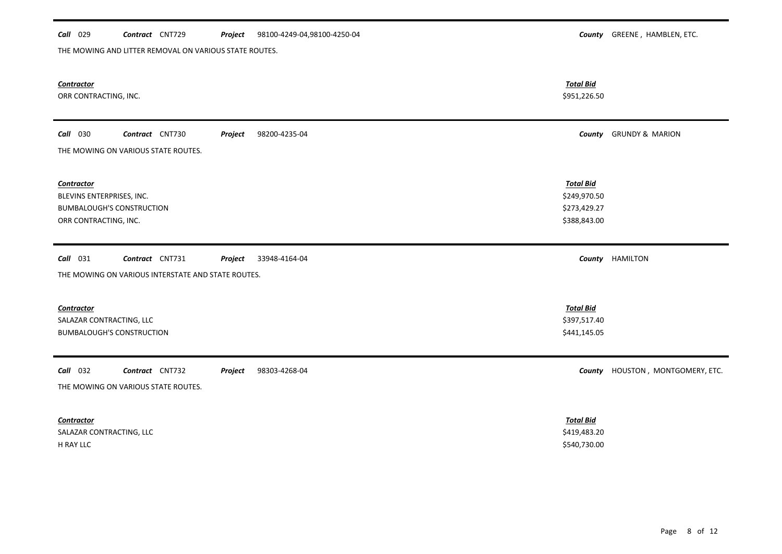# *Call* 029 *Contract* CNT729 *Project County* GREENE , HAMBLEN, ETC. 98100-4249-04,98100-4250-04

THE MOWING AND LITTER REMOVAL ON VARIOUS STATE ROUTES.

| <b>Contractor</b><br>ORR CONTRACTING, INC.                                                                      | <b>Total Bid</b><br>\$951,226.50                 |                                   |
|-----------------------------------------------------------------------------------------------------------------|--------------------------------------------------|-----------------------------------|
| <b>Call</b> 030<br>Contract CNT730<br>Project<br>98200-4235-04<br>THE MOWING ON VARIOUS STATE ROUTES.           |                                                  | <b>County GRUNDY &amp; MARION</b> |
|                                                                                                                 |                                                  |                                   |
| <b>Contractor</b><br>BLEVINS ENTERPRISES, INC.                                                                  | <b>Total Bid</b><br>\$249,970.50                 |                                   |
| <b>BUMBALOUGH'S CONSTRUCTION</b><br>ORR CONTRACTING, INC.                                                       | \$273,429.27<br>\$388,843.00                     |                                   |
|                                                                                                                 |                                                  |                                   |
| $Call$ 031<br>Contract CNT731<br>33948-4164-04<br>Project<br>THE MOWING ON VARIOUS INTERSTATE AND STATE ROUTES. |                                                  | County HAMILTON                   |
| <b>Contractor</b><br>SALAZAR CONTRACTING, LLC<br><b>BUMBALOUGH'S CONSTRUCTION</b>                               | <b>Total Bid</b><br>\$397,517.40<br>\$441,145.05 |                                   |
| Call 032<br>Contract CNT732<br>98303-4268-04<br>Project<br>THE MOWING ON VARIOUS STATE ROUTES.                  |                                                  | County HOUSTON, MONTGOMERY, ETC.  |
| <b>Contractor</b><br>SALAZAR CONTRACTING, LLC<br>H RAY LLC                                                      | <b>Total Bid</b><br>\$419,483.20<br>\$540,730.00 |                                   |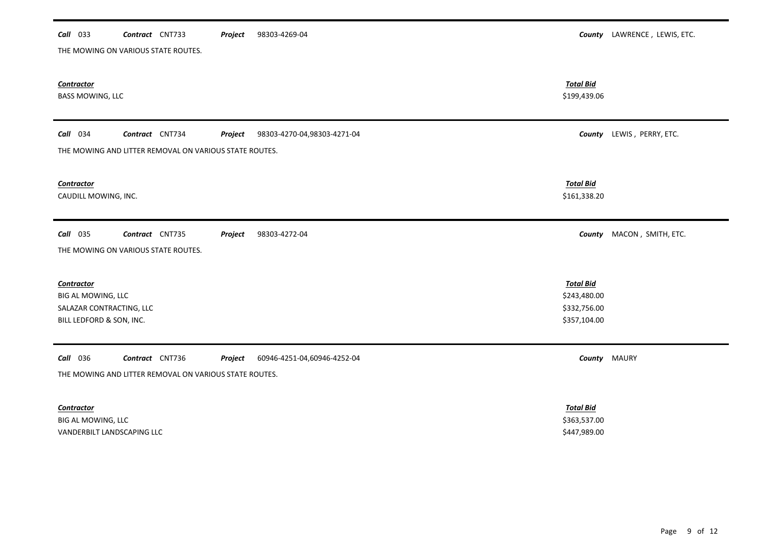| 98303-4269-04<br>Call 033<br>Contract CNT733<br>Project               |                              | County LAWRENCE, LEWIS, ETC. |
|-----------------------------------------------------------------------|------------------------------|------------------------------|
| THE MOWING ON VARIOUS STATE ROUTES.                                   |                              |                              |
|                                                                       |                              |                              |
| <b>Contractor</b>                                                     | <b>Total Bid</b>             |                              |
| <b>BASS MOWING, LLC</b>                                               | \$199,439.06                 |                              |
|                                                                       |                              |                              |
| Call 034<br>Contract CNT734<br>Project<br>98303-4270-04,98303-4271-04 |                              | County LEWIS, PERRY, ETC.    |
| THE MOWING AND LITTER REMOVAL ON VARIOUS STATE ROUTES.                |                              |                              |
|                                                                       |                              |                              |
| <b>Contractor</b>                                                     | <b>Total Bid</b>             |                              |
| CAUDILL MOWING, INC.                                                  | \$161,338.20                 |                              |
|                                                                       |                              |                              |
| Call 035<br>Contract CNT735<br>Project<br>98303-4272-04               |                              | County MACON, SMITH, ETC.    |
| THE MOWING ON VARIOUS STATE ROUTES.                                   |                              |                              |
|                                                                       |                              |                              |
| <b>Contractor</b>                                                     | <b>Total Bid</b>             |                              |
| BIG AL MOWING, LLC                                                    | \$243,480.00                 |                              |
| SALAZAR CONTRACTING, LLC<br>BILL LEDFORD & SON, INC.                  | \$332,756.00<br>\$357,104.00 |                              |
|                                                                       |                              |                              |
|                                                                       |                              |                              |
| Call 036<br>Contract CNT736<br>60946-4251-04,60946-4252-04<br>Project |                              | <b>County</b> MAURY          |
| THE MOWING AND LITTER REMOVAL ON VARIOUS STATE ROUTES.                |                              |                              |
|                                                                       |                              |                              |
| <b>Contractor</b>                                                     | <b>Total Bid</b>             |                              |
| BIG AL MOWING, LLC                                                    | \$363,537.00                 |                              |

VANDERBILT LANDSCAPING LLC \$447,989.00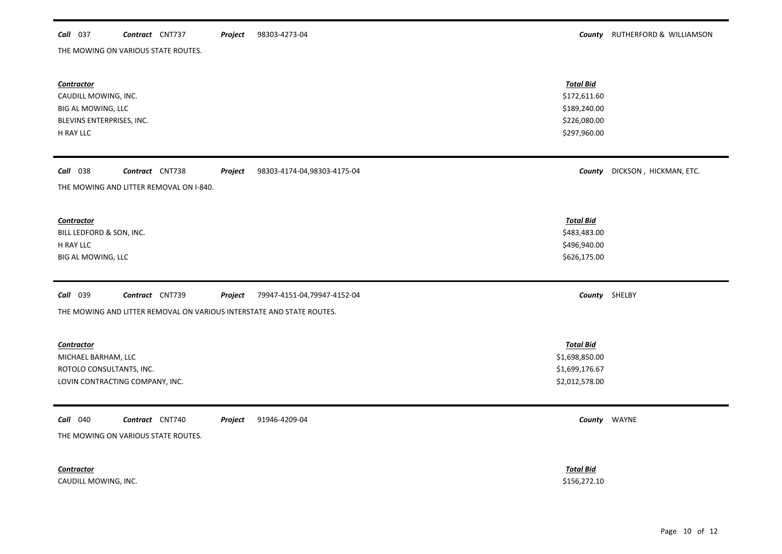### **Call** 037 **Contract** CNT737 **Project** 98303-4273-04 **County County RUTHERFORD & WILLIAMSON** 98303-4273-04

THE MOWING ON VARIOUS STATE ROUTES.

| <b>Contractor</b><br>CAUDILL MOWING, INC.<br>BIG AL MOWING, LLC<br>BLEVINS ENTERPRISES, INC.<br>H RAY LLC                                             | <b>Total Bid</b><br>\$172,611.60<br>\$189,240.00<br>\$226,080.00<br>\$297,960.00 |                        |
|-------------------------------------------------------------------------------------------------------------------------------------------------------|----------------------------------------------------------------------------------|------------------------|
| Call 038<br>Contract CNT738<br>98303-4174-04,98303-4175-04<br>Project<br>THE MOWING AND LITTER REMOVAL ON I-840.                                      | County                                                                           | DICKSON, HICKMAN, ETC. |
| <b>Contractor</b><br>BILL LEDFORD & SON, INC.<br>H RAY LLC<br>BIG AL MOWING, LLC                                                                      | <b>Total Bid</b><br>\$483,483.00<br>\$496,940.00<br>\$626,175.00                 |                        |
| Contract CNT739<br><b>Call</b> 039<br>79947-4151-04,79947-4152-04<br>Project<br>THE MOWING AND LITTER REMOVAL ON VARIOUS INTERSTATE AND STATE ROUTES. |                                                                                  | County SHELBY          |
| <b>Contractor</b><br>MICHAEL BARHAM, LLC<br>ROTOLO CONSULTANTS, INC.<br>LOVIN CONTRACTING COMPANY, INC.                                               | <b>Total Bid</b><br>\$1,698,850.00<br>\$1,699,176.67<br>\$2,012,578.00           |                        |
| 91946-4209-04<br><b>Call</b> 040<br>Contract CNT740<br>Project<br>THE MOWING ON VARIOUS STATE ROUTES.                                                 |                                                                                  | County WAYNE           |
| <b>Contractor</b><br>CAUDILL MOWING, INC.                                                                                                             | <b>Total Bid</b><br>\$156,272.10                                                 |                        |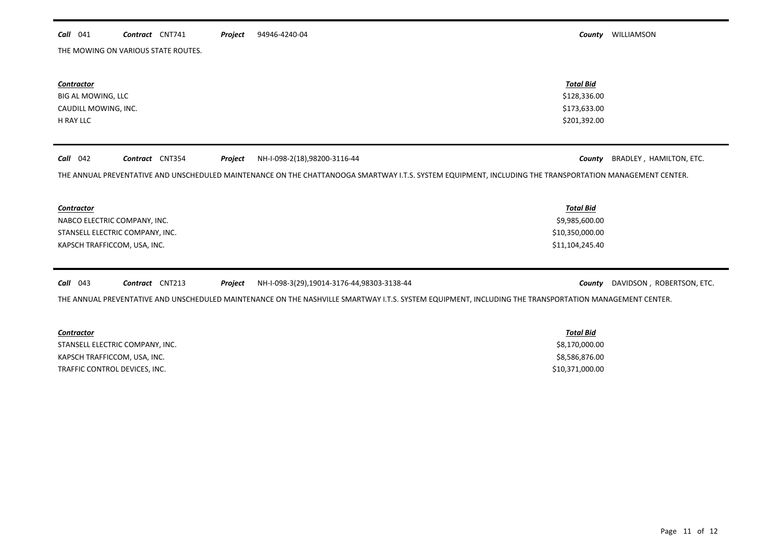### *Call* 041 *Contract* CNT741 *Project County* WILLIAMSON 94946-4240-04

THE MOWING ON VARIOUS STATE ROUTES.

| <b>Contractor</b>                        | <b>Total Bid</b>                                                                                                                                         |                           |
|------------------------------------------|----------------------------------------------------------------------------------------------------------------------------------------------------------|---------------------------|
| BIG AL MOWING, LLC                       | \$128,336.00                                                                                                                                             |                           |
| CAUDILL MOWING, INC.                     | \$173,633.00                                                                                                                                             |                           |
| H RAY LLC                                | \$201,392.00                                                                                                                                             |                           |
|                                          |                                                                                                                                                          |                           |
| $Call$ 042<br>Contract CNT354<br>Project | NH-I-098-2(18),98200-3116-44<br>County                                                                                                                   | BRADLEY, HAMILTON, ETC.   |
|                                          | THE ANNUAL PREVENTATIVE AND UNSCHEDULED MAINTENANCE ON THE CHATTANOOGA SMARTWAY I.T.S. SYSTEM EQUIPMENT, INCLUDING THE TRANSPORTATION MANAGEMENT CENTER. |                           |
|                                          |                                                                                                                                                          |                           |
| <b>Contractor</b>                        | <b>Total Bid</b>                                                                                                                                         |                           |
| NABCO ELECTRIC COMPANY, INC.             | \$9,985,600.00                                                                                                                                           |                           |
| STANSELL ELECTRIC COMPANY, INC.          | \$10,350,000.00                                                                                                                                          |                           |
| KAPSCH TRAFFICCOM, USA, INC.             | \$11,104,245.40                                                                                                                                          |                           |
|                                          |                                                                                                                                                          |                           |
| Contract CNT213<br>$Call$ 043<br>Project | NH-I-098-3(29),19014-3176-44,98303-3138-44<br>County                                                                                                     | DAVIDSON, ROBERTSON, ETC. |
|                                          | THE ANNUAL PREVENTATIVE AND UNSCHEDULED MAINTENANCE ON THE NASHVILLE SMARTWAY I.T.S. SYSTEM EQUIPMENT, INCLUDING THE TRANSPORTATION MANAGEMENT CENTER.   |                           |
|                                          |                                                                                                                                                          |                           |
| <b>Contractor</b>                        | <b>Total Bid</b>                                                                                                                                         |                           |

STANSELL ELECTRIC COMPANY, INC. 68,170,000.00 KAPSCH TRAFFICCOM, USA, INC. 68,586,876.00 TRAFFIC CONTROL DEVICES, INC. 610,371,000.00